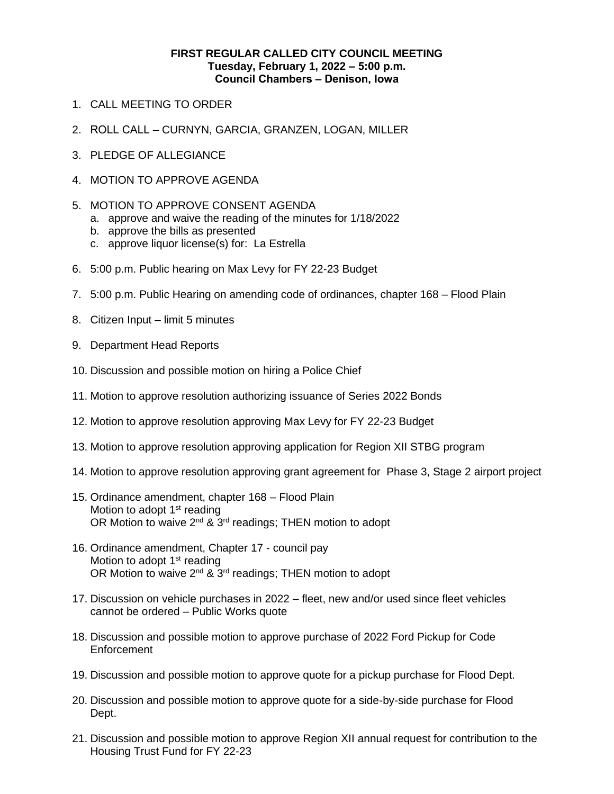## **FIRST REGULAR CALLED CITY COUNCIL MEETING Tuesday, February 1, 2022 ‒ 5:00 p.m. Council Chambers ‒ Denison, Iowa**

- 1. CALL MEETING TO ORDER
- 2. ROLL CALL CURNYN, GARCIA, GRANZEN, LOGAN, MILLER
- 3. PLEDGE OF ALLEGIANCE
- 4. MOTION TO APPROVE AGENDA
- 5. MOTION TO APPROVE CONSENT AGENDA
	- a. approve and waive the reading of the minutes for 1/18/2022
	- b. approve the bills as presented
	- c. approve liquor license(s) for: La Estrella
- 6. 5:00 p.m. Public hearing on Max Levy for FY 22-23 Budget
- 7. 5:00 p.m. Public Hearing on amending code of ordinances, chapter 168 Flood Plain
- 8. Citizen Input limit 5 minutes
- 9. Department Head Reports
- 10. Discussion and possible motion on hiring a Police Chief
- 11. Motion to approve resolution authorizing issuance of Series 2022 Bonds
- 12. Motion to approve resolution approving Max Levy for FY 22-23 Budget
- 13. Motion to approve resolution approving application for Region XII STBG program
- 14. Motion to approve resolution approving grant agreement for Phase 3, Stage 2 airport project
- 15. Ordinance amendment, chapter 168 Flood Plain Motion to adopt  $1<sup>st</sup>$  reading OR Motion to waive  $2^{nd}$  &  $3^{rd}$  readings; THEN motion to adopt
- 16. Ordinance amendment, Chapter 17 council pay Motion to adopt  $1<sup>st</sup>$  reading OR Motion to waive  $2^{nd}$  &  $3^{rd}$  readings; THEN motion to adopt
- 17. Discussion on vehicle purchases in 2022 fleet, new and/or used since fleet vehicles cannot be ordered – Public Works quote
- 18. Discussion and possible motion to approve purchase of 2022 Ford Pickup for Code Enforcement
- 19. Discussion and possible motion to approve quote for a pickup purchase for Flood Dept.
- 20. Discussion and possible motion to approve quote for a side-by-side purchase for Flood Dept.
- 21. Discussion and possible motion to approve Region XII annual request for contribution to the Housing Trust Fund for FY 22-23